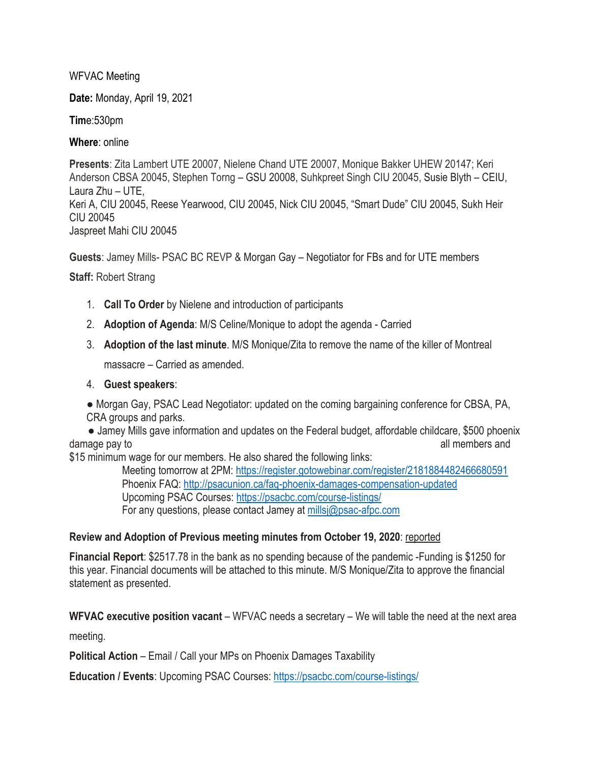WFVAC Meeting

**Date:** Monday, April 19, 2021

**Tim**e:530pm

**Where**: online

**Presents**: Zita Lambert UTE 20007, Nielene Chand UTE 20007, Monique Bakker UHEW 20147; Keri Anderson CBSA 20045, Stephen Torng – GSU 20008, Suhkpreet Singh CIU 20045, Susie Blyth – CEIU, Laura Zhu – UTE, Keri A, CIU 20045, Reese Yearwood, CIU 20045, Nick CIU 20045, "Smart Dude" CIU 20045, Sukh Heir CIU 20045 Jaspreet Mahi CIU 20045

**Guests**: Jamey Mills- PSAC BC REVP & Morgan Gay – Negotiator for FBs and for UTE members

## **Staff:** Robert Strang

- 1. **Call To Order** by Nielene and introduction of participants
- 2. **Adoption of Agenda**: M/S Celine/Monique to adopt the agenda Carried
- 3. **Adoption of the last minute**. M/S Monique/Zita to remove the name of the killer of Montreal

massacre – Carried as amended.

## 4. **Guest speakers**:

● Morgan Gay, PSAC Lead Negotiator: updated on the coming bargaining conference for CBSA, PA, CRA groups and parks.

• Jamey Mills gave information and updates on the Federal budget, affordable childcare, \$500 phoenix damage pay to all members and damage pay to all members and damage pay to all members and damage  $\alpha$ 

\$15 minimum wage for our members. He also shared the following links:

 Meeting tomorrow at 2PM: https://register.gotowebinar.com/register/2181884482466680591 Phoenix FAQ: http://psacunion.ca/faq-phoenix-damages-compensation-updated Upcoming PSAC Courses: https://psacbc.com/course-listings/ For any questions, please contact Jamey at millsj@psac-afpc.com

## **Review and Adoption of Previous meeting minutes from October 19, 2020**: reported

**Financial Report**: \$2517.78 in the bank as no spending because of the pandemic -Funding is \$1250 for this year. Financial documents will be attached to this minute. M/S Monique/Zita to approve the financial statement as presented.

**WFVAC executive position vacant** – WFVAC needs a secretary – We will table the need at the next area

meeting.

**Political Action** – Email / Call your MPs on Phoenix Damages Taxability

**Education / Events**: Upcoming PSAC Courses: https://psacbc.com/course-listings/